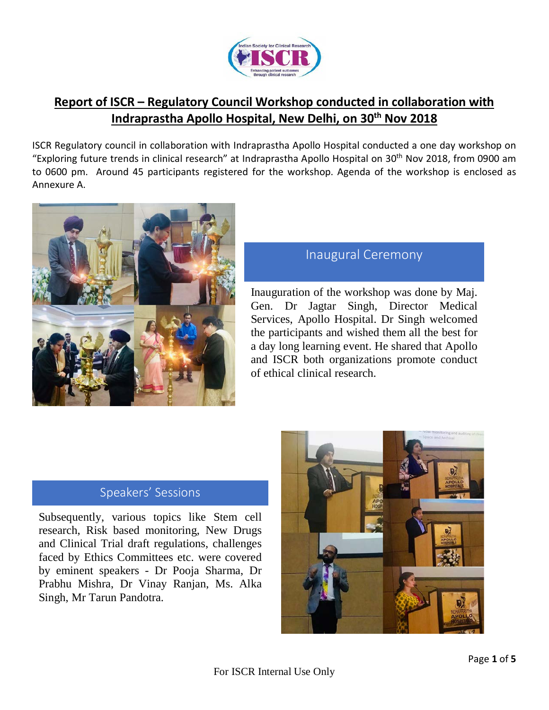

# **Report of ISCR – Regulatory Council Workshop conducted in collaboration with Indraprastha Apollo Hospital, New Delhi, on 30th Nov 2018**

ISCR Regulatory council in collaboration with Indraprastha Apollo Hospital conducted a one day workshop on "Exploring future trends in clinical research" at Indraprastha Apollo Hospital on 30<sup>th</sup> Nov 2018, from 0900 am to 0600 pm. Around 45 participants registered for the workshop. Agenda of the workshop is enclosed as Annexure A.



# Inaugural Ceremony

Inauguration of the workshop was done by Maj. Gen. Dr Jagtar Singh, Director Medical Services, Apollo Hospital. Dr Singh welcomed the participants and wished them all the best for a day long learning event. He shared that Apollo and ISCR both organizations promote conduct of ethical clinical research.

### Speakers' Sessions

Subsequently, various topics like Stem cell research, Risk based monitoring, New Drugs and Clinical Trial draft regulations, challenges faced by Ethics Committees etc. were covered by eminent speakers - Dr Pooja Sharma, Dr Prabhu Mishra, Dr Vinay Ranjan, Ms. Alka Singh, Mr Tarun Pandotra.

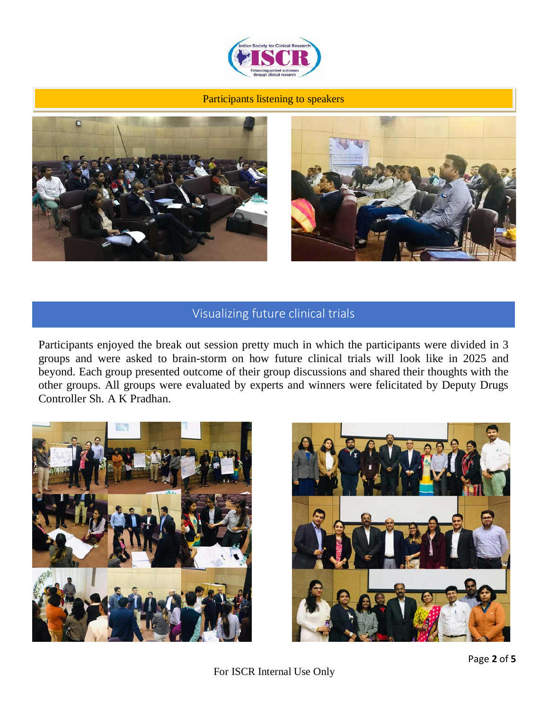

#### Participants listening to speakers





## Visualizing future clinical trials

Participants enjoyed the break out session pretty much in which the participants were divided in 3 groups and were asked to brain-storm on how future clinical trials will look like in 2025 and beyond. Each group presented outcome of their group discussions and shared their thoughts with the other groups. All groups were evaluated by experts and winners were felicitated by Deputy Drugs Controller Sh. A K Pradhan.





For ISCR Internal Use Only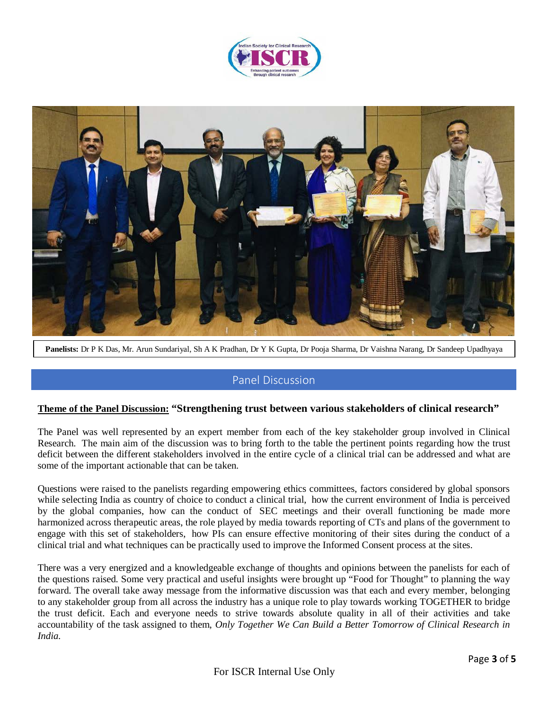![](_page_2_Picture_0.jpeg)

![](_page_2_Picture_1.jpeg)

**Panelists:** Dr P K Das, Mr. Arun Sundariyal, Sh A K Pradhan, Dr Y K Gupta, Dr Pooja Sharma, Dr Vaishna Narang, Dr Sandeep Upadhyaya

### Panel Discussion

#### **Theme of the Panel Discussion: "Strengthening trust between various stakeholders of clinical research"**

The Panel was well represented by an expert member from each of the key stakeholder group involved in Clinical Research. The main aim of the discussion was to bring forth to the table the pertinent points regarding how the trust deficit between the different stakeholders involved in the entire cycle of a clinical trial can be addressed and what are some of the important actionable that can be taken.

Questions were raised to the panelists regarding empowering ethics committees, factors considered by global sponsors while selecting India as country of choice to conduct a clinical trial, how the current environment of India is perceived by the global companies, how can the conduct of SEC meetings and their overall functioning be made more harmonized across therapeutic areas, the role played by media towards reporting of CTs and plans of the government to engage with this set of stakeholders, how PIs can ensure effective monitoring of their sites during the conduct of a clinical trial and what techniques can be practically used to improve the Informed Consent process at the sites.

There was a very energized and a knowledgeable exchange of thoughts and opinions between the panelists for each of the questions raised. Some very practical and useful insights were brought up "Food for Thought" to planning the way forward. The overall take away message from the informative discussion was that each and every member, belonging to any stakeholder group from all across the industry has a unique role to play towards working TOGETHER to bridge the trust deficit. Each and everyone needs to strive towards absolute quality in all of their activities and take accountability of the task assigned to them, *Only Together We Can Build a Better Tomorrow of Clinical Research in India.*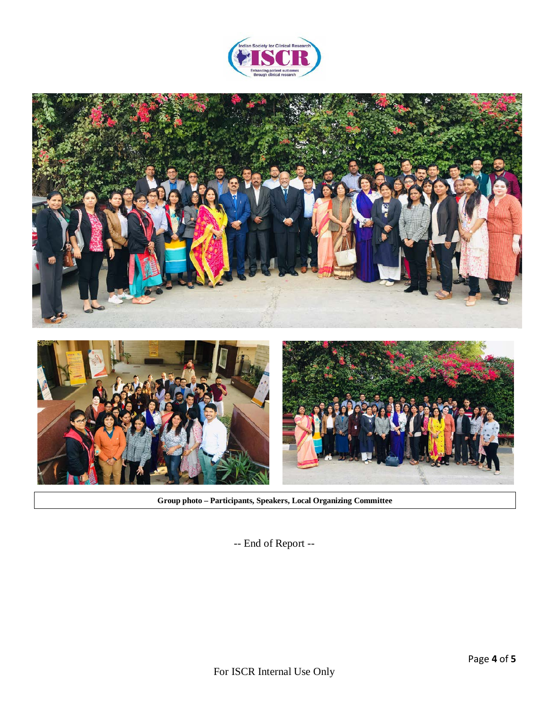![](_page_3_Picture_0.jpeg)

![](_page_3_Picture_1.jpeg)

**Group photo – Participants, Speakers, Local Organizing Committee**

-- End of Report --